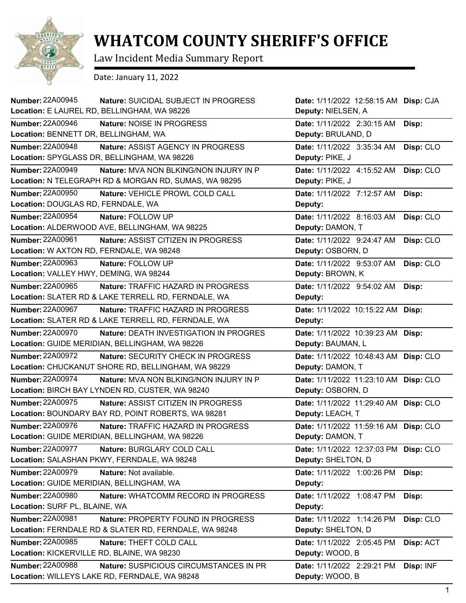

## **WHATCOM COUNTY SHERIFF'S OFFICE**

Law Incident Media Summary Report

Date: January 11, 2022

| <b>Number: 22A00945</b><br>Nature: SUICIDAL SUBJECT IN PROGRESS                              | Date: 1/11/2022 12:58:15 AM Disp: CJA                     |
|----------------------------------------------------------------------------------------------|-----------------------------------------------------------|
| Location: E LAUREL RD, BELLINGHAM, WA 98226                                                  | Deputy: NIELSEN, A                                        |
| <b>Number: 22A00946</b><br>Nature: NOISE IN PROGRESS<br>Location: BENNETT DR, BELLINGHAM, WA | Date: 1/11/2022 2:30:15 AM<br>Disp:<br>Deputy: BRULAND, D |
| <b>Number: 22A00948</b><br>Nature: ASSIST AGENCY IN PROGRESS                                 | Date: 1/11/2022 3:35:34 AM<br>Disp: CLO                   |
| Location: SPYGLASS DR, BELLINGHAM, WA 98226                                                  | Deputy: PIKE, J                                           |
| <b>Number: 22A00949</b><br>Nature: MVA NON BLKING/NON INJURY IN P                            | Date: 1/11/2022 4:15:52 AM<br>Disp: CLO                   |
| Location: N TELEGRAPH RD & MORGAN RD, SUMAS, WA 98295                                        | Deputy: PIKE, J                                           |
| <b>Number: 22A00950</b><br>Nature: VEHICLE PROWL COLD CALL                                   | Date: 1/11/2022 7:12:57 AM<br>Disp:                       |
| Location: DOUGLAS RD, FERNDALE, WA                                                           | Deputy:                                                   |
| <b>Number: 22A00954</b><br>Nature: FOLLOW UP                                                 | Date: 1/11/2022 8:16:03 AM<br>Disp: CLO                   |
| Location: ALDERWOOD AVE, BELLINGHAM, WA 98225                                                | Deputy: DAMON, T                                          |
| <b>Number: 22A00961</b><br>Nature: ASSIST CITIZEN IN PROGRESS                                | Date: 1/11/2022 9:24:47 AM<br>Disp: CLO                   |
| Location: W AXTON RD, FERNDALE, WA 98248                                                     | Deputy: OSBORN, D                                         |
| <b>Number: 22A00963</b><br>Nature: FOLLOW UP                                                 | Date: 1/11/2022 9:53:07 AM<br>Disp: CLO                   |
| Location: VALLEY HWY, DEMING, WA 98244                                                       | Deputy: BROWN, K                                          |
| Number: 22A00965<br>Nature: TRAFFIC HAZARD IN PROGRESS                                       | Date: 1/11/2022 9:54:02 AM<br>Disp:                       |
| Location: SLATER RD & LAKE TERRELL RD, FERNDALE, WA                                          | Deputy:                                                   |
| <b>Number: 22A00967</b><br><b>Nature: TRAFFIC HAZARD IN PROGRESS</b>                         | Date: 1/11/2022 10:15:22 AM<br>Disp:                      |
| Location: SLATER RD & LAKE TERRELL RD, FERNDALE, WA                                          | Deputy:                                                   |
| <b>Number: 22A00970</b><br>Nature: DEATH INVESTIGATION IN PROGRES                            | Date: 1/11/2022 10:39:23 AM<br>Disp:                      |
| Location: GUIDE MERIDIAN, BELLINGHAM, WA 98226                                               | Deputy: BAUMAN, L                                         |
| <b>Number: 22A00972</b><br><b>Nature: SECURITY CHECK IN PROGRESS</b>                         | Date: 1/11/2022 10:48:43 AM<br>Disp: CLO                  |
| Location: CHUCKANUT SHORE RD, BELLINGHAM, WA 98229                                           | Deputy: DAMON, T                                          |
| <b>Number: 22A00974</b><br>Nature: MVA NON BLKING/NON INJURY IN P                            | Date: 1/11/2022 11:23:10 AM Disp: CLO                     |
| Location: BIRCH BAY LYNDEN RD, CUSTER, WA 98240                                              | Deputy: OSBORN, D                                         |
| <b>Number: 22A00975</b><br>Nature: ASSIST CITIZEN IN PROGRESS                                | Date: 1/11/2022 11:29:40 AM<br>Disp: CLO                  |
| Location: BOUNDARY BAY RD, POINT ROBERTS, WA 98281                                           | Deputy: LEACH, T                                          |
| Number: 22A00976<br>Nature: TRAFFIC HAZARD IN PROGRESS                                       | Date: 1/11/2022 11:59:16 AM Disp: CLO                     |
| Location: GUIDE MERIDIAN, BELLINGHAM, WA 98226                                               | Deputy: DAMON, T                                          |
| <b>Number: 22A00977</b><br>Nature: BURGLARY COLD CALL                                        | Date: 1/11/2022 12:37:03 PM<br>Disp: CLO                  |
| Location: SALASHAN PKWY, FERNDALE, WA 98248                                                  | Deputy: SHELTON, D                                        |
| <b>Number: 22A00979</b><br>Nature: Not available.                                            | Date: 1/11/2022 1:00:26 PM<br>Disp:                       |
| Location: GUIDE MERIDIAN, BELLINGHAM, WA                                                     | Deputy:                                                   |
| <b>Number: 22A00980</b><br>Nature: WHATCOMM RECORD IN PROGRESS                               | Date: 1/11/2022 1:08:47 PM<br>Disp:                       |
| Location: SURF PL, BLAINE, WA                                                                | Deputy:                                                   |
| <b>Number: 22A00981</b><br>Nature: PROPERTY FOUND IN PROGRESS                                | Disp: CLO<br>Date: 1/11/2022 1:14:26 PM                   |
| Location: FERNDALE RD & SLATER RD, FERNDALE, WA 98248                                        | Deputy: SHELTON, D                                        |
| <b>Number: 22A00985</b><br>Nature: THEFT COLD CALL                                           | Disp: ACT<br>Date: 1/11/2022 2:05:45 PM                   |
| Location: KICKERVILLE RD, BLAINE, WA 98230                                                   | Deputy: WOOD, B                                           |
| <b>Number: 22A00988</b><br>Nature: SUSPICIOUS CIRCUMSTANCES IN PR                            | Date: 1/11/2022 2:29:21 PM<br>Disp: INF                   |
| Location: WILLEYS LAKE RD, FERNDALE, WA 98248                                                | Deputy: WOOD, B                                           |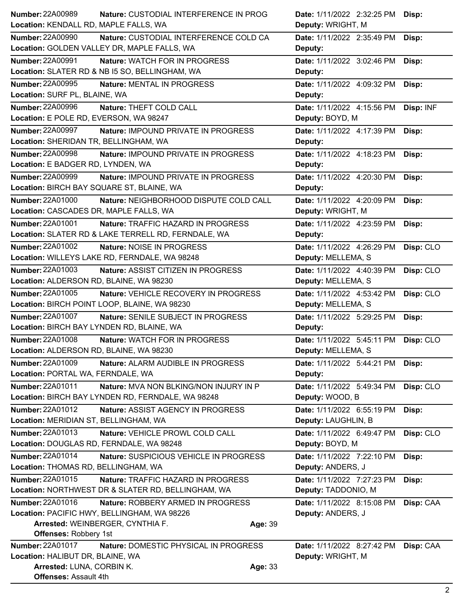| <b>Number: 22A00989</b>                          | Nature: CUSTODIAL INTERFERENCE IN PROG                                                    |         | Date: 1/11/2022 2:32:25 PM                       | Disp:     |
|--------------------------------------------------|-------------------------------------------------------------------------------------------|---------|--------------------------------------------------|-----------|
| Location: KENDALL RD, MAPLE FALLS, WA            |                                                                                           |         | Deputy: WRIGHT, M                                |           |
| <b>Number: 22A00990</b>                          | Nature: CUSTODIAL INTERFERENCE COLD CA                                                    |         | Date: 1/11/2022 2:35:49 PM                       | Disp:     |
|                                                  | Location: GOLDEN VALLEY DR, MAPLE FALLS, WA                                               |         | Deputy:                                          |           |
| <b>Number: 22A00991</b>                          | Nature: WATCH FOR IN PROGRESS                                                             |         | Date: 1/11/2022 3:02:46 PM                       | Disp:     |
|                                                  | Location: SLATER RD & NB I5 SO, BELLINGHAM, WA                                            |         | Deputy:                                          |           |
| <b>Number: 22A00995</b>                          | Nature: MENTAL IN PROGRESS                                                                |         | Date: 1/11/2022 4:09:32 PM                       | Disp:     |
| Location: SURF PL, BLAINE, WA                    |                                                                                           |         | Deputy:                                          |           |
| <b>Number: 22A00996</b>                          | Nature: THEFT COLD CALL                                                                   |         | Date: 1/11/2022 4:15:56 PM                       | Disp: INF |
| Location: E POLE RD, EVERSON, WA 98247           |                                                                                           |         | Deputy: BOYD, M                                  |           |
| <b>Number: 22A00997</b>                          | Nature: IMPOUND PRIVATE IN PROGRESS                                                       |         | Date: 1/11/2022 4:17:39 PM                       | Disp:     |
| Location: SHERIDAN TR, BELLINGHAM, WA            |                                                                                           |         | Deputy:                                          |           |
| <b>Number: 22A00998</b>                          | Nature: IMPOUND PRIVATE IN PROGRESS                                                       |         | Date: 1/11/2022 4:18:23 PM                       | Disp:     |
| Location: E BADGER RD, LYNDEN, WA                |                                                                                           |         | Deputy:                                          |           |
| <b>Number: 22A00999</b>                          | Nature: IMPOUND PRIVATE IN PROGRESS                                                       |         | Date: 1/11/2022 4:20:30 PM                       | Disp:     |
| Location: BIRCH BAY SQUARE ST, BLAINE, WA        |                                                                                           |         | Deputy:                                          |           |
| <b>Number: 22A01000</b>                          | Nature: NEIGHBORHOOD DISPUTE COLD CALL                                                    |         | Date: 1/11/2022 4:20:09 PM                       | Disp:     |
| Location: CASCADES DR, MAPLE FALLS, WA           |                                                                                           |         | Deputy: WRIGHT, M                                |           |
| <b>Number: 22A01001</b>                          | Nature: TRAFFIC HAZARD IN PROGRESS<br>Location: SLATER RD & LAKE TERRELL RD, FERNDALE, WA |         | Date: 1/11/2022 4:23:59 PM                       | Disp:     |
| <b>Number: 22A01002</b>                          |                                                                                           |         | Deputy:                                          |           |
|                                                  | Nature: NOISE IN PROGRESS<br>Location: WILLEYS LAKE RD, FERNDALE, WA 98248                |         | Date: 1/11/2022 4:26:29 PM<br>Deputy: MELLEMA, S | Disp: CLO |
| Number: 22A01003                                 | Nature: ASSIST CITIZEN IN PROGRESS                                                        |         | Date: 1/11/2022 4:40:39 PM                       | Disp: CLO |
| Location: ALDERSON RD, BLAINE, WA 98230          |                                                                                           |         | Deputy: MELLEMA, S                               |           |
| <b>Number: 22A01005</b>                          | Nature: VEHICLE RECOVERY IN PROGRESS                                                      |         | Date: 1/11/2022 4:53:42 PM                       | Disp: CLO |
|                                                  | Location: BIRCH POINT LOOP, BLAINE, WA 98230                                              |         | Deputy: MELLEMA, S                               |           |
| <b>Number: 22A01007</b>                          | Nature: SENILE SUBJECT IN PROGRESS                                                        |         | Date: 1/11/2022 5:29:25 PM                       | Disp:     |
| Location: BIRCH BAY LYNDEN RD, BLAINE, WA        |                                                                                           |         | Deputy:                                          |           |
| <b>Number: 22A01008</b>                          | Nature: WATCH FOR IN PROGRESS                                                             |         | Date: 1/11/2022 5:45:11 PM                       | Disp: CLO |
| Location: ALDERSON RD, BLAINE, WA 98230          |                                                                                           |         | Deputy: MELLEMA, S                               |           |
| Number: 22A01009                                 | Nature: ALARM AUDIBLE IN PROGRESS                                                         |         | Date: 1/11/2022 5:44:21 PM                       | Disp:     |
| Location: PORTAL WA, FERNDALE, WA                |                                                                                           |         | Deputy:                                          |           |
| Number: 22A01011                                 | Nature: MVA NON BLKING/NON INJURY IN P                                                    |         | Date: 1/11/2022 5:49:34 PM                       | Disp: CLO |
|                                                  | Location: BIRCH BAY LYNDEN RD, FERNDALE, WA 98248                                         |         | Deputy: WOOD, B                                  |           |
| Number: 22A01012                                 | Nature: ASSIST AGENCY IN PROGRESS                                                         |         | Date: 1/11/2022 6:55:19 PM                       | Disp:     |
| Location: MERIDIAN ST, BELLINGHAM, WA            |                                                                                           |         | Deputy: LAUGHLIN, B                              |           |
| Number: 22A01013                                 | Nature: VEHICLE PROWL COLD CALL                                                           |         | Date: 1/11/2022 6:49:47 PM                       | Disp: CLO |
| Location: DOUGLAS RD, FERNDALE, WA 98248         |                                                                                           |         | Deputy: BOYD, M                                  |           |
| Number: 22A01014                                 | Nature: SUSPICIOUS VEHICLE IN PROGRESS                                                    |         | Date: 1/11/2022 7:22:10 PM                       | Disp:     |
| Location: THOMAS RD, BELLINGHAM, WA              |                                                                                           |         | Deputy: ANDERS, J                                |           |
| Number: 22A01015                                 | Nature: TRAFFIC HAZARD IN PROGRESS                                                        |         | Date: 1/11/2022 7:27:23 PM                       | Disp:     |
|                                                  | Location: NORTHWEST DR & SLATER RD, BELLINGHAM, WA                                        |         | Deputy: TADDONIO, M                              |           |
| Number: 22A01016                                 | Nature: ROBBERY ARMED IN PROGRESS                                                         |         | Date: 1/11/2022 8:15:08 PM                       | Disp: CAA |
|                                                  | Location: PACIFIC HWY, BELLINGHAM, WA 98226                                               |         | Deputy: ANDERS, J                                |           |
|                                                  | Arrested: WEINBERGER, CYNTHIA F.                                                          | Age: 39 |                                                  |           |
| <b>Offenses: Robbery 1st</b><br>Number: 22A01017 |                                                                                           |         |                                                  |           |
| Location: HALIBUT DR, BLAINE, WA                 | Nature: DOMESTIC PHYSICAL IN PROGRESS                                                     |         | Date: 1/11/2022 8:27:42 PM<br>Deputy: WRIGHT, M  | Disp: CAA |
| Arrested: LUNA, CORBIN K.                        |                                                                                           | Age: 33 |                                                  |           |
| <b>Offenses: Assault 4th</b>                     |                                                                                           |         |                                                  |           |